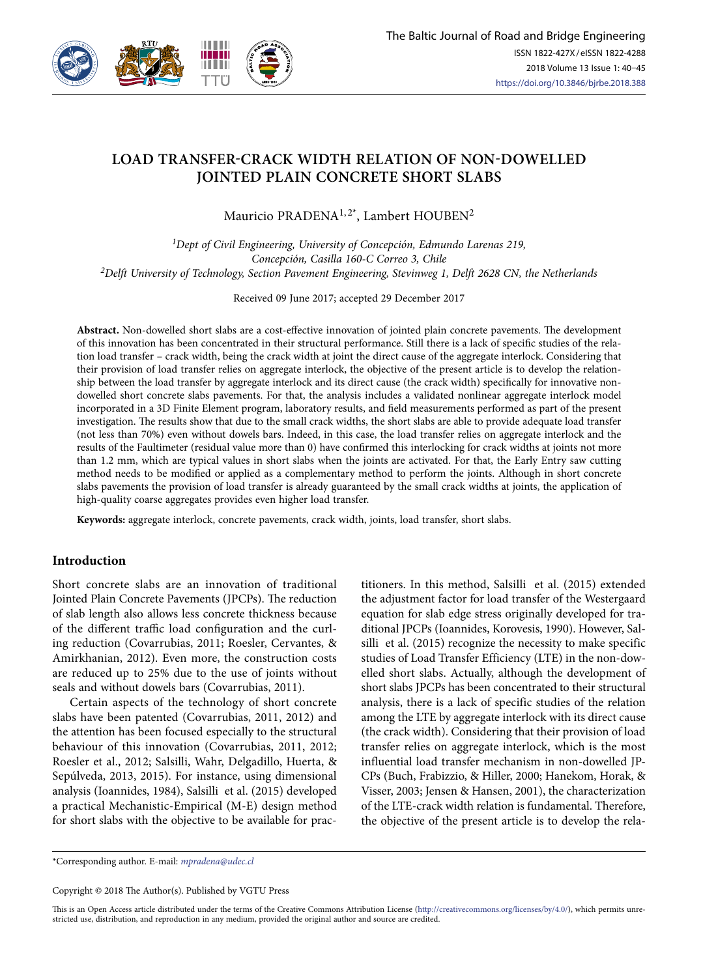

# **LOAD TRANSFER-CRACK WIDTH RELATION OF NON-DOWELLED JOINTED PLAIN CONCRETE SHORT SLABS**

Mauricio PRADENA<sup>1,2\*</sup>, Lambert HOUBEN<sup>2</sup>

*1Dept of Civil Engineering, University of Concepción, Edmundo Larenas 219, Concepción, Casilla 160-C Correo 3, Chile 2Delft University of Technology, Section Pavement Engineering, Stevinweg 1, Delft 2628 CN, the Netherlands*

Received 09 June 2017; accepted 29 December 2017

**Abstract.** Non-dowelled short slabs are a cost-effective innovation of jointed plain concrete pavements. The development of this innovation has been concentrated in their structural performance. Still there is a lack of specific studies of the relation load transfer – crack width, being the crack width at joint the direct cause of the aggregate interlock. Considering that their provision of load transfer relies on aggregate interlock, the objective of the present article is to develop the relationship between the load transfer by aggregate interlock and its direct cause (the crack width) specifically for innovative nondowelled short concrete slabs pavements. For that, the analysis includes a validated nonlinear aggregate interlock model incorporated in a 3D Finite Element program, laboratory results, and field measurements performed as part of the present investigation. The results show that due to the small crack widths, the short slabs are able to provide adequate load transfer (not less than 70%) even without dowels bars. Indeed, in this case, the load transfer relies on aggregate interlock and the results of the Faultimeter (residual value more than 0) have confirmed this interlocking for crack widths at joints not more than 1.2 mm, which are typical values in short slabs when the joints are activated. For that, the Early Entry saw cutting method needs to be modified or applied as a complementary method to perform the joints. Although in short concrete slabs pavements the provision of load transfer is already guaranteed by the small crack widths at joints, the application of high-quality coarse aggregates provides even higher load transfer.

**Keywords:** aggregate interlock, concrete pavements, crack width, joints, load transfer, short slabs.

## **Introduction**

Short concrete slabs are an innovation of traditional Jointed Plain Concrete Pavements (JPCPs). The reduction of slab length also allows less concrete thickness because of the different traffic load configuration and the curling reduction (Covarrubias, 2011; Roesler, Cervantes, & Amirkhanian, 2012). Even more, the construction costs are reduced up to 25% due to the use of joints without seals and without dowels bars (Covarrubias, 2011).

Certain aspects of the technology of short concrete slabs have been patented (Covarrubias, 2011, 2012) and the attention has been focused especially to the structural behaviour of this innovation (Covarrubias, 2011, 2012; Roesler et al., 2012; Salsilli, Wahr, Delgadillo, Huerta, & Sepúlveda, 2013, 2015). For instance, using dimensional analysis (Ioannides, 1984), Salsilli et al. (2015) developed a practical Mechanistic-Empirical (M-E) design method for short slabs with the objective to be available for practitioners. In this method, Salsilli et al. (2015) extended the adjustment factor for load transfer of the Westergaard equation for slab edge stress originally developed for traditional JPCPs (Ioannides, Korovesis, 1990). However, Salsilli et al. (2015) recognize the necessity to make specific studies of Load Transfer Efficiency (LTE) in the non-dowelled short slabs. Actually, although the development of short slabs JPCPs has been concentrated to their structural analysis, there is a lack of specific studies of the relation among the LTE by aggregate interlock with its direct cause (the crack width). Considering that their provision of load transfer relies on aggregate interlock, which is the most influential load transfer mechanism in non-dowelled JP-CPs (Buch, Frabizzio, & Hiller, 2000; Hanekom, Horak, & Visser, 2003; Jensen & Hansen, 2001), the characterization of the LTE-crack width relation is fundamental. Therefore, the objective of the present article is to develop the rela-

\*Corresponding author. E-mail: *mpradena@udec.cl*

Copyright © 2018 The Author(s). Published by VGTU Press

This is an Open Access article distributed under the terms of the Creative Commons Attribution License (http://creativecommons.org/licenses/by/4.0/), which permits unrestricted use, distribution, and reproduction in any medium, provided the original author and source are credited.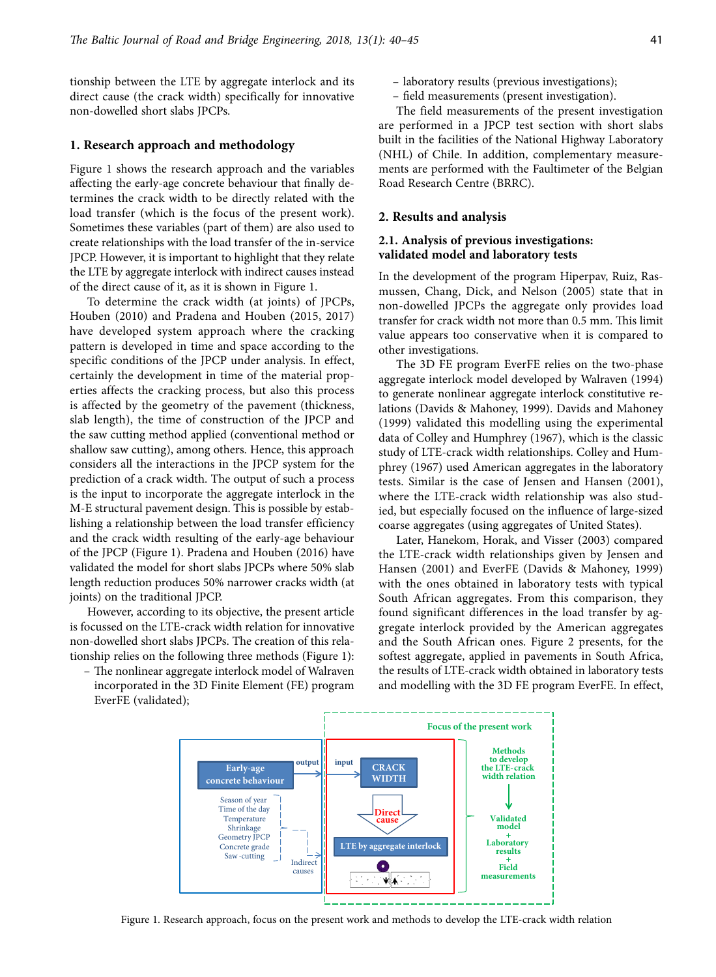tionship between the LTE by aggregate interlock and its direct cause (the crack width) specifically for innovative non-dowelled short slabs JPCPs.

## **1. Research approach and methodology**

Figure 1 shows the research approach and the variables affecting the early-age concrete behaviour that finally determines the crack width to be directly related with the load transfer (which is the focus of the present work). Sometimes these variables (part of them) are also used to create relationships with the load transfer of the in-service JPCP. However, it is important to highlight that they relate the LTE by aggregate interlock with indirect causes instead of the direct cause of it, as it is shown in Figure 1.

To determine the crack width (at joints) of JPCPs, Houben (2010) and Pradena and Houben (2015, 2017) have developed system approach where the cracking pattern is developed in time and space according to the specific conditions of the JPCP under analysis. In effect, certainly the development in time of the material properties affects the cracking process, but also this process is affected by the geometry of the pavement (thickness, slab length), the time of construction of the JPCP and the saw cutting method applied (conventional method or shallow saw cutting), among others. Hence, this approach considers all the interactions in the JPCP system for the prediction of a crack width. The output of such a process is the input to incorporate the aggregate interlock in the M-E structural pavement design. This is possible by establishing a relationship between the load transfer efficiency and the crack width resulting of the early-age behaviour of the JPCP (Figure 1). Pradena and Houben (2016) have validated the model for short slabs JPCPs where 50% slab length reduction produces 50% narrower cracks width (at joints) on the traditional JPCP.

However, according to its objective, the present article is focussed on the LTE-crack width relation for innovative non-dowelled short slabs JPCPs. The creation of this relationship relies on the following three methods (Figure 1):

– The nonlinear aggregate interlock model of Walraven incorporated in the 3D Finite Element (FE) program EverFE (validated);

- laboratory results (previous investigations);
- field measurements (present investigation).

The field measurements of the present investigation are performed in a JPCP test section with short slabs built in the facilities of the National Highway Laboratory (NHL) of Chile. In addition, complementary measurements are performed with the Faultimeter of the Belgian Road Research Centre (BRRC).

#### **2. Results and analysis**

## **2.1. Analysis of previous investigations: validated model and laboratory tests**

In the development of the program Hiperpav, Ruiz, Rasmussen, Chang, Dick, and Nelson (2005) state that in non-dowelled JPCPs the aggregate only provides load transfer for crack width not more than 0.5 mm. This limit value appears too conservative when it is compared to other investigations.

The 3D FE program EverFE relies on the two-phase aggregate interlock model developed by Walraven (1994) to generate nonlinear aggregate interlock constitutive relations (Davids & Mahoney, 1999). Davids and Mahoney (1999) validated this modelling using the experimental data of Colley and Humphrey (1967), which is the classic study of LTE-crack width relationships. Colley and Humphrey (1967) used American aggregates in the laboratory tests. Similar is the case of Jensen and Hansen (2001), where the LTE-crack width relationship was also studied, but especially focused on the influence of large-sized coarse aggregates (using aggregates of United States).

Later, Hanekom, Horak, and Visser (2003) compared the LTE-crack width relationships given by Jensen and Hansen (2001) and EverFE (Davids & Mahoney, 1999) with the ones obtained in laboratory tests with typical South African aggregates. From this comparison, they found significant differences in the load transfer by aggregate interlock provided by the American aggregates and the South African ones. Figure 2 presents, for the softest aggregate, applied in pavements in South Africa, the results of LTE-crack width obtained in laboratory tests and modelling with the 3D FE program EverFE. In effect,



Figure 1. Research approach, focus on the present work and methods to develop the LTE-crack width relation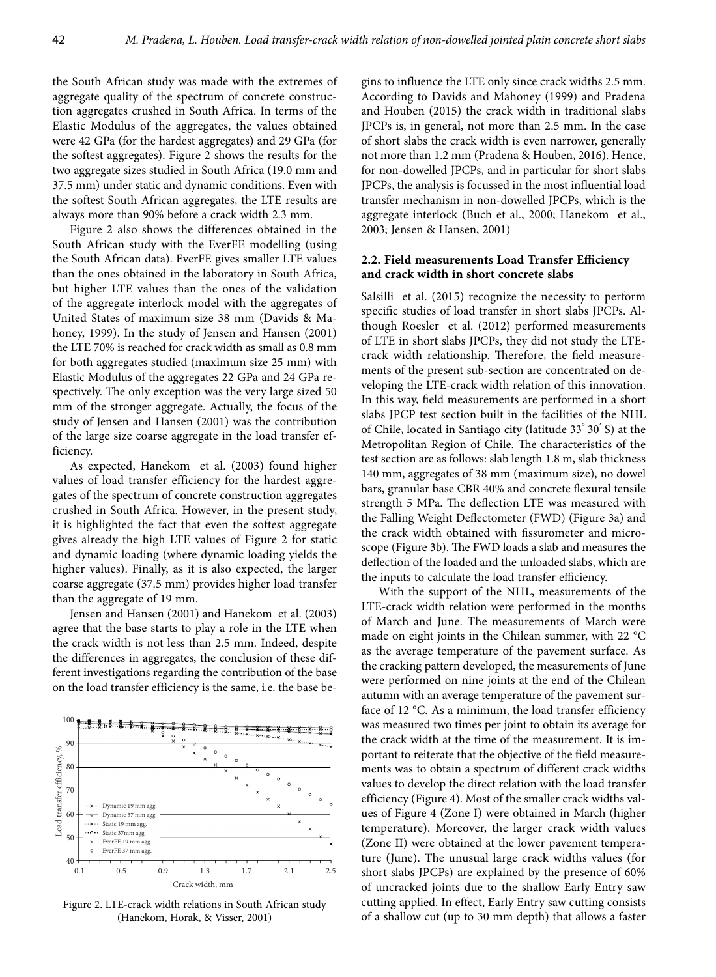the South African study was made with the extremes of aggregate quality of the spectrum of concrete construction aggregates crushed in South Africa. In terms of the Elastic Modulus of the aggregates, the values obtained were 42 GPa (for the hardest aggregates) and 29 GPa (for the softest aggregates). Figure 2 shows the results for the two aggregate sizes studied in South Africa (19.0 mm and 37.5 mm) under static and dynamic conditions. Even with the softest South African aggregates, the LTE results are always more than 90% before a crack width 2.3 mm.

Figure 2 also shows the differences obtained in the South African study with the EverFE modelling (using the South African data). EverFE gives smaller LTE values than the ones obtained in the laboratory in South Africa, but higher LTE values than the ones of the validation of the aggregate interlock model with the aggregates of United States of maximum size 38 mm (Davids & Mahoney, 1999). In the study of Jensen and Hansen (2001) the LTE 70% is reached for crack width as small as 0.8 mm for both aggregates studied (maximum size 25 mm) with Elastic Modulus of the aggregates 22 GPa and 24 GPa respectively. The only exception was the very large sized 50 mm of the stronger aggregate. Actually, the focus of the study of Jensen and Hansen (2001) was the contribution of the large size coarse aggregate in the load transfer efficiency.

As expected, Hanekom et al. (2003) found higher values of load transfer efficiency for the hardest aggregates of the spectrum of concrete construction aggregates crushed in South Africa. However, in the present study, it is highlighted the fact that even the softest aggregate gives already the high LTE values of Figure 2 for static and dynamic loading (where dynamic loading yields the higher values). Finally, as it is also expected, the larger coarse aggregate (37.5 mm) provides higher load transfer than the aggregate of 19 mm.

Jensen and Hansen (2001) and Hanekom et al. (2003) agree that the base starts to play a role in the LTE when the crack width is not less than 2.5 mm. Indeed, despite the differences in aggregates, the conclusion of these different investigations regarding the contribution of the base on the load transfer efficiency is the same, i.e. the base be-



Figure 2. LTE-crack width relations in South African study (Hanekom, Horak, & Visser, 2001)

gins to influence the LTE only since crack widths 2.5 mm. According to Davids and Mahoney (1999) and Pradena and Houben (2015) the crack width in traditional slabs JPCPs is, in general, not more than 2.5 mm. In the case of short slabs the crack width is even narrower, generally not more than 1.2 mm (Pradena & Houben, 2016). Hence, for non-dowelled JPCPs, and in particular for short slabs JPCPs, the analysis is focussed in the most influential load transfer mechanism in non-dowelled JPCPs, which is the aggregate interlock (Buch et al., 2000; Hanekom et al., 2003; Jensen & Hansen, 2001)

## **2.2. Field measurements Load Transfer Efficiency and crack width in short concrete slabs**

Salsilli et al. (2015) recognize the necessity to perform specific studies of load transfer in short slabs JPCPs. Although Roesler et al. (2012) performed measurements of LTE in short slabs JPCPs, they did not study the LTEcrack width relationship. Therefore, the field measurements of the present sub-section are concentrated on developing the LTE-crack width relation of this innovation. In this way, field measurements are performed in a short slabs JPCP test section built in the facilities of the NHL of Chile, located in Santiago city (latitude 33° 30' S) at the Metropolitan Region of Chile. The characteristics of the test section are as follows: slab length 1.8 m, slab thickness 140 mm, aggregates of 38 mm (maximum size), no dowel bars, granular base CBR 40% and concrete flexural tensile strength 5 MPa. The deflection LTE was measured with the Falling Weight Deflectometer (FWD) (Figure 3a) and the crack width obtained with fissurometer and microscope (Figure 3b). The FWD loads a slab and measures the deflection of the loaded and the unloaded slabs, which are the inputs to calculate the load transfer efficiency.

With the support of the NHL, measurements of the LTE-crack width relation were performed in the months of March and June. The measurements of March were made on eight joints in the Chilean summer, with 22 °C as the average temperature of the pavement surface. As the cracking pattern developed, the measurements of June were performed on nine joints at the end of the Chilean autumn with an average temperature of the pavement surface of 12 °C. As a minimum, the load transfer efficiency was measured two times per joint to obtain its average for the crack width at the time of the measurement. It is important to reiterate that the objective of the field measurements was to obtain a spectrum of different crack widths values to develop the direct relation with the load transfer efficiency (Figure 4). Most of the smaller crack widths values of Figure 4 (Zone I) were obtained in March (higher temperature). Moreover, the larger crack width values (Zone II) were obtained at the lower pavement temperature (June). The unusual large crack widths values (for short slabs JPCPs) are explained by the presence of 60% of uncracked joints due to the shallow Early Entry saw cutting applied. In effect, Early Entry saw cutting consists of a shallow cut (up to 30 mm depth) that allows a faster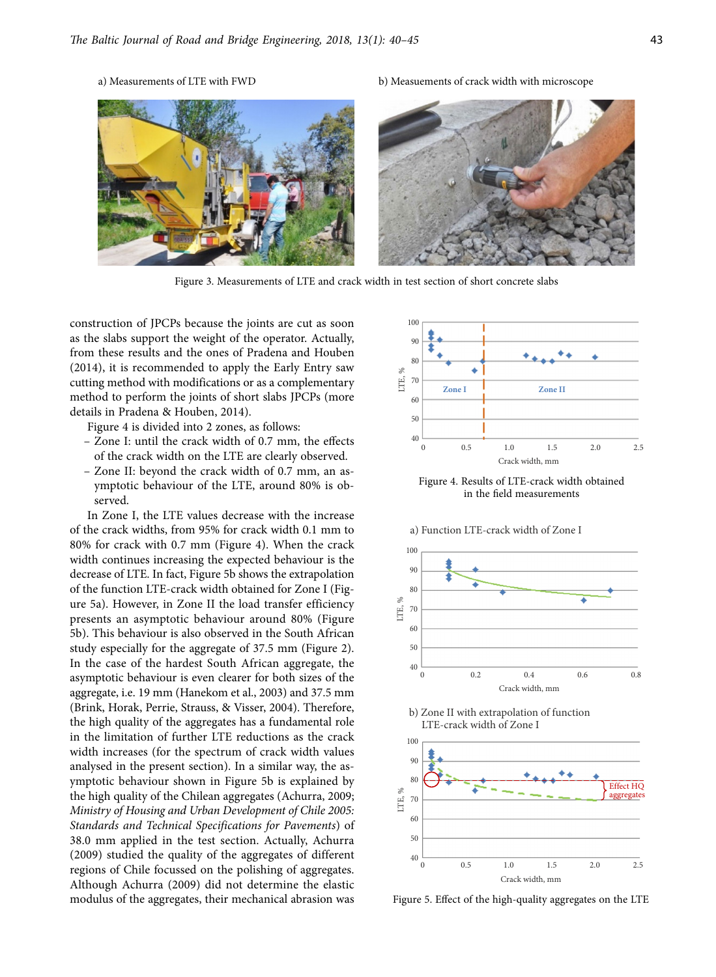

Figure 3. Measurements of LTE and crack width in test section of short concrete slabs

construction of JPCPs because the joints are cut as soon as the slabs support the weight of the operator. Actually, from these results and the ones of Pradena and Houben (2014), it is recommended to apply the Early Entry saw cutting method with modifications or as a complementary method to perform the joints of short slabs JPCPs (more details in Pradena & Houben, 2014).

Figure 4 is divided into 2 zones, as follows:

- Zone I: until the crack width of 0.7 mm, the effects of the crack width on the LTE are clearly observed.
- Zone II: beyond the crack width of 0.7 mm, an asymptotic behaviour of the LTE, around 80% is observed.

In Zone I, the LTE values decrease with the increase of the crack widths, from 95% for crack width 0.1 mm to 80% for crack with 0.7 mm (Figure 4). When the crack width continues increasing the expected behaviour is the decrease of LTE. In fact, Figure 5b shows the extrapolation of the function LTE-crack width obtained for Zone I (Figure 5a). However, in Zone II the load transfer efficiency presents an asymptotic behaviour around 80% (Figure 5b). This behaviour is also observed in the South African study especially for the aggregate of 37.5 mm (Figure 2). In the case of the hardest South African aggregate, the asymptotic behaviour is even clearer for both sizes of the aggregate, i.e. 19 mm (Hanekom et al., 2003) and 37.5 mm (Brink, Horak, Perrie, Strauss, & Visser, 2004). Therefore, the high quality of the aggregates has a fundamental role in the limitation of further LTE reductions as the crack width increases (for the spectrum of crack width values analysed in the present section). In a similar way, the asymptotic behaviour shown in Figure 5b is explained by the high quality of the Chilean aggregates (Achurra, 2009; *Ministry of Housing and Urban Development of Chile 2005: Standards and Technical Specifications for Pavements*) of 38.0 mm applied in the test section. Actually, Achurra (2009) studied the quality of the aggregates of different regions of Chile focussed on the polishing of aggregates. Although Achurra (2009) did not determine the elastic modulus of the aggregates, their mechanical abrasion was



Figure 4. Results of LTE-crack width obtained in the field measurements

a) Function LTE-crack width of Zone I







Figure 5. Effect of the high-quality aggregates on the LTE

## a) Measurements of LTE with FWD b) Measuements of crack width with microscope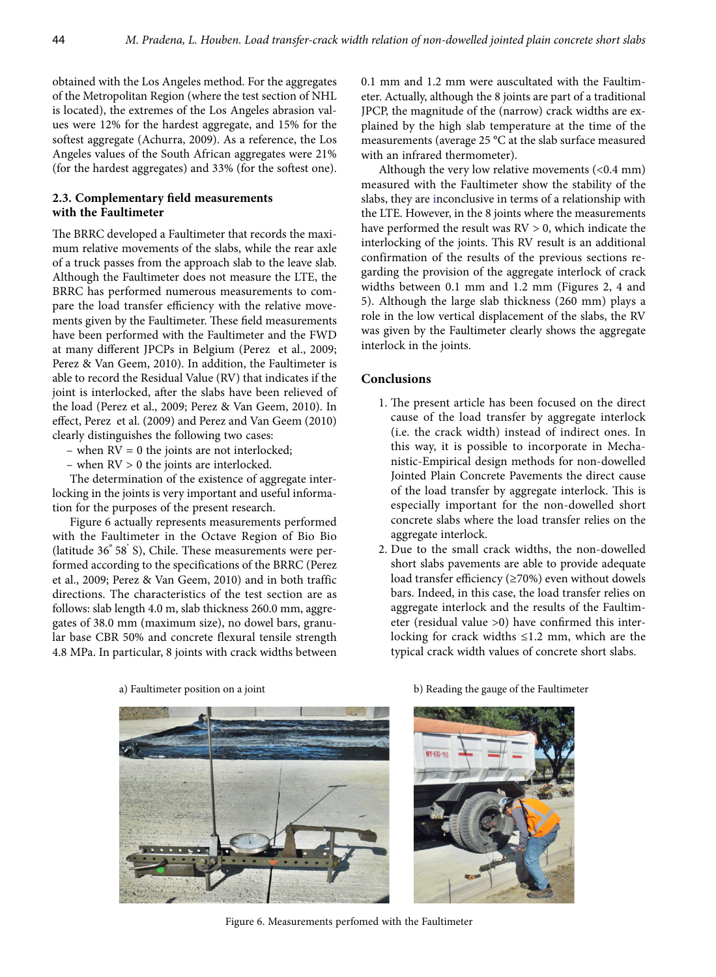obtained with the Los Angeles method. For the aggregates of the Metropolitan Region (where the test section of NHL is located), the extremes of the Los Angeles abrasion values were 12% for the hardest aggregate, and 15% for the softest aggregate (Achurra, 2009). As a reference, the Los Angeles values of the South African aggregates were 21% (for the hardest aggregates) and 33% (for the softest one).

# **2.3. Complementary field measurements with the Faultimeter**

The BRRC developed a Faultimeter that records the maximum relative movements of the slabs, while the rear axle of a truck passes from the approach slab to the leave slab. Although the Faultimeter does not measure the LTE, the BRRC has performed numerous measurements to compare the load transfer efficiency with the relative movements given by the Faultimeter. These field measurements have been performed with the Faultimeter and the FWD at many different JPCPs in Belgium (Perez et al., 2009; Perez & Van Geem, 2010). In addition, the Faultimeter is able to record the Residual Value (RV) that indicates if the joint is interlocked, after the slabs have been relieved of the load (Perez et al., 2009; Perez & Van Geem, 2010). In effect, Perez et al. (2009) and Perez and Van Geem (2010) clearly distinguishes the following two cases:

- when  $RV = 0$  the joints are not interlocked;
- when RV > 0 the joints are interlocked.

The determination of the existence of aggregate interlocking in the joints is very important and useful information for the purposes of the present research.

Figure 6 actually represents measurements performed with the Faultimeter in the Octave Region of Bio Bio (latitude 36° 58' S), Chile. These measurements were performed according to the specifications of the BRRC (Perez et al., 2009; Perez & Van Geem, 2010) and in both traffic directions. The characteristics of the test section are as follows: slab length 4.0 m, slab thickness 260.0 mm, aggregates of 38.0 mm (maximum size), no dowel bars, granular base CBR 50% and concrete flexural tensile strength 4.8 MPa. In particular, 8 joints with crack widths between

0.1 mm and 1.2 mm were auscultated with the Faultimeter. Actually, although the 8 joints are part of a traditional JPCP, the magnitude of the (narrow) crack widths are explained by the high slab temperature at the time of the measurements (average 25 °C at the slab surface measured with an infrared thermometer).

Although the very low relative movements (<0.4 mm) measured with the Faultimeter show the stability of the slabs, they are inconclusive in terms of a relationship with the LTE. However, in the 8 joints where the measurements have performed the result was RV > 0, which indicate the interlocking of the joints. This RV result is an additional confirmation of the results of the previous sections regarding the provision of the aggregate interlock of crack widths between 0.1 mm and 1.2 mm (Figures 2, 4 and 5). Although the large slab thickness (260 mm) plays a role in the low vertical displacement of the slabs, the RV was given by the Faultimeter clearly shows the aggregate interlock in the joints.

## **Conclusions**

- 1. The present article has been focused on the direct cause of the load transfer by aggregate interlock (i.e. the crack width) instead of indirect ones. In this way, it is possible to incorporate in Mechanistic-Empirical design methods for non-dowelled Jointed Plain Concrete Pavements the direct cause of the load transfer by aggregate interlock. This is especially important for the non-dowelled short concrete slabs where the load transfer relies on the aggregate interlock.
- 2. Due to the small crack widths, the non-dowelled short slabs pavements are able to provide adequate load transfer efficiency (≥70%) even without dowels bars. Indeed, in this case, the load transfer relies on aggregate interlock and the results of the Faultimeter (residual value >0) have confirmed this interlocking for crack widths ≤1.2 mm, which are the typical crack width values of concrete short slabs.



a) Faultimeter position on a joint b) Reading the gauge of the Faultimeter



Figure 6. Measurements perfomed with the Faultimeter